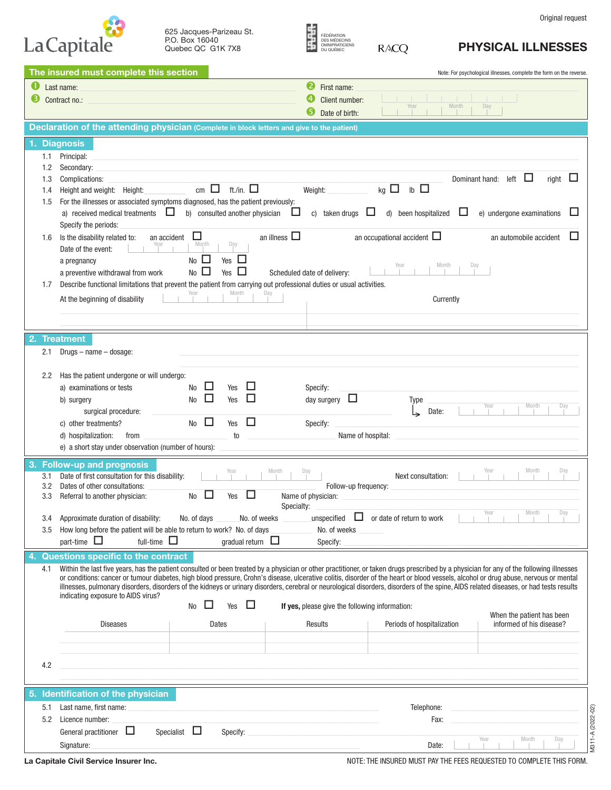| Original request |  |
|------------------|--|
|------------------|--|

|                  | 625 Jacques-Parizeau St. |
|------------------|--------------------------|
| P.O. Box 16040   |                          |
| Quebec QC G1K7X8 |                          |

La Capitale

| FÉDÉRATION     |   |
|----------------|---|
| DES MÉDECINS   |   |
| OMNIPRATICIENS |   |
| DU QUÉBEC      | R |

## PHYSICAL ILLNESSES

| 2<br>Last name:<br>First name:<br>Contract no.:<br>Client number:<br>Month<br>Year<br>Day<br>6<br>Date of birth:<br>Declaration of the attending physician (Complete in block letters and give to the patient)<br>1. Diagnosis<br>Principal:<br>1.1<br>Secondary:<br>1.2<br>Dominant hand:<br>left<br>Ц<br>right<br>Complications:<br>⊔<br>1.3<br>ft./in. $\square$<br>$\mathsf{lb} \ \Box$<br>$kg$ $\Box$<br>cm $\Box$<br>Weight:<br>Height and weight: Height:<br>1.4<br>For the illnesses or associated symptoms diagnosed, has the patient previously:<br>1.5<br>ப<br>a) received medical treatments $\Box$<br>Ц<br>b) consulted another physician<br>c) taken drugs<br>d) been hospitalized<br>ப<br>e) undergone examinations<br>ш<br>Specify the periods:<br>□<br>an illness $\Box$<br>□<br>an occupational accident $\Box$<br>an automobile accident<br>Is the disability related to:<br>an accident<br>1.6<br>Month<br>Day<br>Date of the event:<br>$No$ $\square$<br>ш<br>Yes<br>a pregnancy<br>Month<br>Day<br>$No$ $\Box$<br>ப<br>Yes<br>Scheduled date of delivery:<br>a preventive withdrawal from work<br>Describe functional limitations that prevent the patient from carrying out professional duties or usual activities.<br>1.7<br>Month<br>Year<br>Day<br>At the beginning of disability<br>Currently<br><b>Treatment</b><br>2.1<br>$Drugs - name - dosage:$<br>Has the patient undergone or will undergo:<br>2.2<br>$\mathbf{L}$<br>ш<br>a) examinations or tests<br>No<br>Yes<br>Specify:<br>□<br>П<br>Ц<br>Yes<br>day surgery<br><b>No</b><br>b) surgery<br>Type<br>Month<br>Year<br>Day<br>surgical procedure:<br>Date:<br>□<br>Ш<br><b>No</b><br>Yes<br>c) other treatments?<br>Specify:<br>d) hospitalization:<br>Name of hospital:<br>from<br>to<br>e) a short stay under observation (number of hours):<br><b>Follow-up and prognosis</b><br>Month<br>Day<br>Month<br>Year<br>Year<br>Day<br>Date of first consultation for this disability:<br>Next consultation:<br>3.1<br>Dates of other consultations:<br>3.2<br>Follow-up frequency:<br>ப<br>3.3<br><b>No</b><br>Yes<br>Name of physician:<br>Referral to another physician:<br>Specialty:<br>Approximate duration of disability:<br>No. of days<br>No. of weeks<br>unspecified $\Box$ or date of return to work<br>3.4<br>How long before the patient will be able to return to work? No. of days<br>No. of weeks<br>3.5<br>full-time $\Box$<br>gradual return $\Box$<br>part-time $\Box$<br>Specify:<br>Questions specific to the contract<br>Within the last five years, has the patient consulted or been treated by a physician or other practitioner, or taken drugs prescribed by a physician for any of the following illnesses<br>4.1<br>or conditions: cancer or tumour diabetes, high blood pressure, Crohn's disease, ulcerative colitis, disorder of the heart or blood vessels, alcohol or drug abuse, nervous or mental<br>illnesses, pulmonary disorders, disorders of the kidneys or urinary disorders, cerebral or neurological disorders, disorders of the spine, AIDS related diseases, or had tests results<br>indicating exposure to AIDS virus?<br>□<br><b>No</b><br>ப<br>Yes<br>If yes, please give the following information:<br>When the patient has been<br>informed of his disease?<br><b>Diseases</b><br>Dates<br>Results<br>Periods of hospitalization<br>4.2<br>5. Identification of the physician<br>Last name, first name:<br>Telephone:<br>5.1<br>M311-A (2022-02)<br>5.2<br>Licence number:<br>Fax:<br>Specialist $\Box$<br>$\Box$<br>General practitioner<br>Specify:<br>Month<br>Year<br>Day<br>Signature:<br>Date: |    | The insured must complete this section |  | Note: For psychological illnesses, complete the form on the reverse. |
|-------------------------------------------------------------------------------------------------------------------------------------------------------------------------------------------------------------------------------------------------------------------------------------------------------------------------------------------------------------------------------------------------------------------------------------------------------------------------------------------------------------------------------------------------------------------------------------------------------------------------------------------------------------------------------------------------------------------------------------------------------------------------------------------------------------------------------------------------------------------------------------------------------------------------------------------------------------------------------------------------------------------------------------------------------------------------------------------------------------------------------------------------------------------------------------------------------------------------------------------------------------------------------------------------------------------------------------------------------------------------------------------------------------------------------------------------------------------------------------------------------------------------------------------------------------------------------------------------------------------------------------------------------------------------------------------------------------------------------------------------------------------------------------------------------------------------------------------------------------------------------------------------------------------------------------------------------------------------------------------------------------------------------------------------------------------------------------------------------------------------------------------------------------------------------------------------------------------------------------------------------------------------------------------------------------------------------------------------------------------------------------------------------------------------------------------------------------------------------------------------------------------------------------------------------------------------------------------------------------------------------------------------------------------------------------------------------------------------------------------------------------------------------------------------------------------------------------------------------------------------------------------------------------------------------------------------------------------------------------------------------------------------------------------------------------------------------------------------------------------------------------------------------------------------------------------------------------------------------------------------------------------------------------------------------------------------------------------------------------------------------------------------------------------------------------------------------------------------------------------------------------------------------------------------------------------------------------------------------------------------------------------|----|----------------------------------------|--|----------------------------------------------------------------------|
|                                                                                                                                                                                                                                                                                                                                                                                                                                                                                                                                                                                                                                                                                                                                                                                                                                                                                                                                                                                                                                                                                                                                                                                                                                                                                                                                                                                                                                                                                                                                                                                                                                                                                                                                                                                                                                                                                                                                                                                                                                                                                                                                                                                                                                                                                                                                                                                                                                                                                                                                                                                                                                                                                                                                                                                                                                                                                                                                                                                                                                                                                                                                                                                                                                                                                                                                                                                                                                                                                                                                                                                                                                           |    |                                        |  |                                                                      |
|                                                                                                                                                                                                                                                                                                                                                                                                                                                                                                                                                                                                                                                                                                                                                                                                                                                                                                                                                                                                                                                                                                                                                                                                                                                                                                                                                                                                                                                                                                                                                                                                                                                                                                                                                                                                                                                                                                                                                                                                                                                                                                                                                                                                                                                                                                                                                                                                                                                                                                                                                                                                                                                                                                                                                                                                                                                                                                                                                                                                                                                                                                                                                                                                                                                                                                                                                                                                                                                                                                                                                                                                                                           |    |                                        |  |                                                                      |
|                                                                                                                                                                                                                                                                                                                                                                                                                                                                                                                                                                                                                                                                                                                                                                                                                                                                                                                                                                                                                                                                                                                                                                                                                                                                                                                                                                                                                                                                                                                                                                                                                                                                                                                                                                                                                                                                                                                                                                                                                                                                                                                                                                                                                                                                                                                                                                                                                                                                                                                                                                                                                                                                                                                                                                                                                                                                                                                                                                                                                                                                                                                                                                                                                                                                                                                                                                                                                                                                                                                                                                                                                                           |    |                                        |  |                                                                      |
|                                                                                                                                                                                                                                                                                                                                                                                                                                                                                                                                                                                                                                                                                                                                                                                                                                                                                                                                                                                                                                                                                                                                                                                                                                                                                                                                                                                                                                                                                                                                                                                                                                                                                                                                                                                                                                                                                                                                                                                                                                                                                                                                                                                                                                                                                                                                                                                                                                                                                                                                                                                                                                                                                                                                                                                                                                                                                                                                                                                                                                                                                                                                                                                                                                                                                                                                                                                                                                                                                                                                                                                                                                           |    |                                        |  |                                                                      |
|                                                                                                                                                                                                                                                                                                                                                                                                                                                                                                                                                                                                                                                                                                                                                                                                                                                                                                                                                                                                                                                                                                                                                                                                                                                                                                                                                                                                                                                                                                                                                                                                                                                                                                                                                                                                                                                                                                                                                                                                                                                                                                                                                                                                                                                                                                                                                                                                                                                                                                                                                                                                                                                                                                                                                                                                                                                                                                                                                                                                                                                                                                                                                                                                                                                                                                                                                                                                                                                                                                                                                                                                                                           |    |                                        |  |                                                                      |
|                                                                                                                                                                                                                                                                                                                                                                                                                                                                                                                                                                                                                                                                                                                                                                                                                                                                                                                                                                                                                                                                                                                                                                                                                                                                                                                                                                                                                                                                                                                                                                                                                                                                                                                                                                                                                                                                                                                                                                                                                                                                                                                                                                                                                                                                                                                                                                                                                                                                                                                                                                                                                                                                                                                                                                                                                                                                                                                                                                                                                                                                                                                                                                                                                                                                                                                                                                                                                                                                                                                                                                                                                                           |    |                                        |  |                                                                      |
|                                                                                                                                                                                                                                                                                                                                                                                                                                                                                                                                                                                                                                                                                                                                                                                                                                                                                                                                                                                                                                                                                                                                                                                                                                                                                                                                                                                                                                                                                                                                                                                                                                                                                                                                                                                                                                                                                                                                                                                                                                                                                                                                                                                                                                                                                                                                                                                                                                                                                                                                                                                                                                                                                                                                                                                                                                                                                                                                                                                                                                                                                                                                                                                                                                                                                                                                                                                                                                                                                                                                                                                                                                           |    |                                        |  |                                                                      |
|                                                                                                                                                                                                                                                                                                                                                                                                                                                                                                                                                                                                                                                                                                                                                                                                                                                                                                                                                                                                                                                                                                                                                                                                                                                                                                                                                                                                                                                                                                                                                                                                                                                                                                                                                                                                                                                                                                                                                                                                                                                                                                                                                                                                                                                                                                                                                                                                                                                                                                                                                                                                                                                                                                                                                                                                                                                                                                                                                                                                                                                                                                                                                                                                                                                                                                                                                                                                                                                                                                                                                                                                                                           |    |                                        |  |                                                                      |
|                                                                                                                                                                                                                                                                                                                                                                                                                                                                                                                                                                                                                                                                                                                                                                                                                                                                                                                                                                                                                                                                                                                                                                                                                                                                                                                                                                                                                                                                                                                                                                                                                                                                                                                                                                                                                                                                                                                                                                                                                                                                                                                                                                                                                                                                                                                                                                                                                                                                                                                                                                                                                                                                                                                                                                                                                                                                                                                                                                                                                                                                                                                                                                                                                                                                                                                                                                                                                                                                                                                                                                                                                                           |    |                                        |  |                                                                      |
|                                                                                                                                                                                                                                                                                                                                                                                                                                                                                                                                                                                                                                                                                                                                                                                                                                                                                                                                                                                                                                                                                                                                                                                                                                                                                                                                                                                                                                                                                                                                                                                                                                                                                                                                                                                                                                                                                                                                                                                                                                                                                                                                                                                                                                                                                                                                                                                                                                                                                                                                                                                                                                                                                                                                                                                                                                                                                                                                                                                                                                                                                                                                                                                                                                                                                                                                                                                                                                                                                                                                                                                                                                           |    |                                        |  |                                                                      |
|                                                                                                                                                                                                                                                                                                                                                                                                                                                                                                                                                                                                                                                                                                                                                                                                                                                                                                                                                                                                                                                                                                                                                                                                                                                                                                                                                                                                                                                                                                                                                                                                                                                                                                                                                                                                                                                                                                                                                                                                                                                                                                                                                                                                                                                                                                                                                                                                                                                                                                                                                                                                                                                                                                                                                                                                                                                                                                                                                                                                                                                                                                                                                                                                                                                                                                                                                                                                                                                                                                                                                                                                                                           |    |                                        |  |                                                                      |
|                                                                                                                                                                                                                                                                                                                                                                                                                                                                                                                                                                                                                                                                                                                                                                                                                                                                                                                                                                                                                                                                                                                                                                                                                                                                                                                                                                                                                                                                                                                                                                                                                                                                                                                                                                                                                                                                                                                                                                                                                                                                                                                                                                                                                                                                                                                                                                                                                                                                                                                                                                                                                                                                                                                                                                                                                                                                                                                                                                                                                                                                                                                                                                                                                                                                                                                                                                                                                                                                                                                                                                                                                                           |    |                                        |  |                                                                      |
|                                                                                                                                                                                                                                                                                                                                                                                                                                                                                                                                                                                                                                                                                                                                                                                                                                                                                                                                                                                                                                                                                                                                                                                                                                                                                                                                                                                                                                                                                                                                                                                                                                                                                                                                                                                                                                                                                                                                                                                                                                                                                                                                                                                                                                                                                                                                                                                                                                                                                                                                                                                                                                                                                                                                                                                                                                                                                                                                                                                                                                                                                                                                                                                                                                                                                                                                                                                                                                                                                                                                                                                                                                           |    |                                        |  |                                                                      |
|                                                                                                                                                                                                                                                                                                                                                                                                                                                                                                                                                                                                                                                                                                                                                                                                                                                                                                                                                                                                                                                                                                                                                                                                                                                                                                                                                                                                                                                                                                                                                                                                                                                                                                                                                                                                                                                                                                                                                                                                                                                                                                                                                                                                                                                                                                                                                                                                                                                                                                                                                                                                                                                                                                                                                                                                                                                                                                                                                                                                                                                                                                                                                                                                                                                                                                                                                                                                                                                                                                                                                                                                                                           |    |                                        |  |                                                                      |
|                                                                                                                                                                                                                                                                                                                                                                                                                                                                                                                                                                                                                                                                                                                                                                                                                                                                                                                                                                                                                                                                                                                                                                                                                                                                                                                                                                                                                                                                                                                                                                                                                                                                                                                                                                                                                                                                                                                                                                                                                                                                                                                                                                                                                                                                                                                                                                                                                                                                                                                                                                                                                                                                                                                                                                                                                                                                                                                                                                                                                                                                                                                                                                                                                                                                                                                                                                                                                                                                                                                                                                                                                                           |    |                                        |  |                                                                      |
|                                                                                                                                                                                                                                                                                                                                                                                                                                                                                                                                                                                                                                                                                                                                                                                                                                                                                                                                                                                                                                                                                                                                                                                                                                                                                                                                                                                                                                                                                                                                                                                                                                                                                                                                                                                                                                                                                                                                                                                                                                                                                                                                                                                                                                                                                                                                                                                                                                                                                                                                                                                                                                                                                                                                                                                                                                                                                                                                                                                                                                                                                                                                                                                                                                                                                                                                                                                                                                                                                                                                                                                                                                           |    |                                        |  |                                                                      |
|                                                                                                                                                                                                                                                                                                                                                                                                                                                                                                                                                                                                                                                                                                                                                                                                                                                                                                                                                                                                                                                                                                                                                                                                                                                                                                                                                                                                                                                                                                                                                                                                                                                                                                                                                                                                                                                                                                                                                                                                                                                                                                                                                                                                                                                                                                                                                                                                                                                                                                                                                                                                                                                                                                                                                                                                                                                                                                                                                                                                                                                                                                                                                                                                                                                                                                                                                                                                                                                                                                                                                                                                                                           |    |                                        |  |                                                                      |
|                                                                                                                                                                                                                                                                                                                                                                                                                                                                                                                                                                                                                                                                                                                                                                                                                                                                                                                                                                                                                                                                                                                                                                                                                                                                                                                                                                                                                                                                                                                                                                                                                                                                                                                                                                                                                                                                                                                                                                                                                                                                                                                                                                                                                                                                                                                                                                                                                                                                                                                                                                                                                                                                                                                                                                                                                                                                                                                                                                                                                                                                                                                                                                                                                                                                                                                                                                                                                                                                                                                                                                                                                                           |    |                                        |  |                                                                      |
|                                                                                                                                                                                                                                                                                                                                                                                                                                                                                                                                                                                                                                                                                                                                                                                                                                                                                                                                                                                                                                                                                                                                                                                                                                                                                                                                                                                                                                                                                                                                                                                                                                                                                                                                                                                                                                                                                                                                                                                                                                                                                                                                                                                                                                                                                                                                                                                                                                                                                                                                                                                                                                                                                                                                                                                                                                                                                                                                                                                                                                                                                                                                                                                                                                                                                                                                                                                                                                                                                                                                                                                                                                           |    |                                        |  |                                                                      |
|                                                                                                                                                                                                                                                                                                                                                                                                                                                                                                                                                                                                                                                                                                                                                                                                                                                                                                                                                                                                                                                                                                                                                                                                                                                                                                                                                                                                                                                                                                                                                                                                                                                                                                                                                                                                                                                                                                                                                                                                                                                                                                                                                                                                                                                                                                                                                                                                                                                                                                                                                                                                                                                                                                                                                                                                                                                                                                                                                                                                                                                                                                                                                                                                                                                                                                                                                                                                                                                                                                                                                                                                                                           |    |                                        |  |                                                                      |
|                                                                                                                                                                                                                                                                                                                                                                                                                                                                                                                                                                                                                                                                                                                                                                                                                                                                                                                                                                                                                                                                                                                                                                                                                                                                                                                                                                                                                                                                                                                                                                                                                                                                                                                                                                                                                                                                                                                                                                                                                                                                                                                                                                                                                                                                                                                                                                                                                                                                                                                                                                                                                                                                                                                                                                                                                                                                                                                                                                                                                                                                                                                                                                                                                                                                                                                                                                                                                                                                                                                                                                                                                                           | 2. |                                        |  |                                                                      |
|                                                                                                                                                                                                                                                                                                                                                                                                                                                                                                                                                                                                                                                                                                                                                                                                                                                                                                                                                                                                                                                                                                                                                                                                                                                                                                                                                                                                                                                                                                                                                                                                                                                                                                                                                                                                                                                                                                                                                                                                                                                                                                                                                                                                                                                                                                                                                                                                                                                                                                                                                                                                                                                                                                                                                                                                                                                                                                                                                                                                                                                                                                                                                                                                                                                                                                                                                                                                                                                                                                                                                                                                                                           |    |                                        |  |                                                                      |
|                                                                                                                                                                                                                                                                                                                                                                                                                                                                                                                                                                                                                                                                                                                                                                                                                                                                                                                                                                                                                                                                                                                                                                                                                                                                                                                                                                                                                                                                                                                                                                                                                                                                                                                                                                                                                                                                                                                                                                                                                                                                                                                                                                                                                                                                                                                                                                                                                                                                                                                                                                                                                                                                                                                                                                                                                                                                                                                                                                                                                                                                                                                                                                                                                                                                                                                                                                                                                                                                                                                                                                                                                                           |    |                                        |  |                                                                      |
|                                                                                                                                                                                                                                                                                                                                                                                                                                                                                                                                                                                                                                                                                                                                                                                                                                                                                                                                                                                                                                                                                                                                                                                                                                                                                                                                                                                                                                                                                                                                                                                                                                                                                                                                                                                                                                                                                                                                                                                                                                                                                                                                                                                                                                                                                                                                                                                                                                                                                                                                                                                                                                                                                                                                                                                                                                                                                                                                                                                                                                                                                                                                                                                                                                                                                                                                                                                                                                                                                                                                                                                                                                           |    |                                        |  |                                                                      |
|                                                                                                                                                                                                                                                                                                                                                                                                                                                                                                                                                                                                                                                                                                                                                                                                                                                                                                                                                                                                                                                                                                                                                                                                                                                                                                                                                                                                                                                                                                                                                                                                                                                                                                                                                                                                                                                                                                                                                                                                                                                                                                                                                                                                                                                                                                                                                                                                                                                                                                                                                                                                                                                                                                                                                                                                                                                                                                                                                                                                                                                                                                                                                                                                                                                                                                                                                                                                                                                                                                                                                                                                                                           |    |                                        |  |                                                                      |
|                                                                                                                                                                                                                                                                                                                                                                                                                                                                                                                                                                                                                                                                                                                                                                                                                                                                                                                                                                                                                                                                                                                                                                                                                                                                                                                                                                                                                                                                                                                                                                                                                                                                                                                                                                                                                                                                                                                                                                                                                                                                                                                                                                                                                                                                                                                                                                                                                                                                                                                                                                                                                                                                                                                                                                                                                                                                                                                                                                                                                                                                                                                                                                                                                                                                                                                                                                                                                                                                                                                                                                                                                                           |    |                                        |  |                                                                      |
|                                                                                                                                                                                                                                                                                                                                                                                                                                                                                                                                                                                                                                                                                                                                                                                                                                                                                                                                                                                                                                                                                                                                                                                                                                                                                                                                                                                                                                                                                                                                                                                                                                                                                                                                                                                                                                                                                                                                                                                                                                                                                                                                                                                                                                                                                                                                                                                                                                                                                                                                                                                                                                                                                                                                                                                                                                                                                                                                                                                                                                                                                                                                                                                                                                                                                                                                                                                                                                                                                                                                                                                                                                           |    |                                        |  |                                                                      |
|                                                                                                                                                                                                                                                                                                                                                                                                                                                                                                                                                                                                                                                                                                                                                                                                                                                                                                                                                                                                                                                                                                                                                                                                                                                                                                                                                                                                                                                                                                                                                                                                                                                                                                                                                                                                                                                                                                                                                                                                                                                                                                                                                                                                                                                                                                                                                                                                                                                                                                                                                                                                                                                                                                                                                                                                                                                                                                                                                                                                                                                                                                                                                                                                                                                                                                                                                                                                                                                                                                                                                                                                                                           |    |                                        |  |                                                                      |
|                                                                                                                                                                                                                                                                                                                                                                                                                                                                                                                                                                                                                                                                                                                                                                                                                                                                                                                                                                                                                                                                                                                                                                                                                                                                                                                                                                                                                                                                                                                                                                                                                                                                                                                                                                                                                                                                                                                                                                                                                                                                                                                                                                                                                                                                                                                                                                                                                                                                                                                                                                                                                                                                                                                                                                                                                                                                                                                                                                                                                                                                                                                                                                                                                                                                                                                                                                                                                                                                                                                                                                                                                                           |    |                                        |  |                                                                      |
|                                                                                                                                                                                                                                                                                                                                                                                                                                                                                                                                                                                                                                                                                                                                                                                                                                                                                                                                                                                                                                                                                                                                                                                                                                                                                                                                                                                                                                                                                                                                                                                                                                                                                                                                                                                                                                                                                                                                                                                                                                                                                                                                                                                                                                                                                                                                                                                                                                                                                                                                                                                                                                                                                                                                                                                                                                                                                                                                                                                                                                                                                                                                                                                                                                                                                                                                                                                                                                                                                                                                                                                                                                           |    |                                        |  |                                                                      |
|                                                                                                                                                                                                                                                                                                                                                                                                                                                                                                                                                                                                                                                                                                                                                                                                                                                                                                                                                                                                                                                                                                                                                                                                                                                                                                                                                                                                                                                                                                                                                                                                                                                                                                                                                                                                                                                                                                                                                                                                                                                                                                                                                                                                                                                                                                                                                                                                                                                                                                                                                                                                                                                                                                                                                                                                                                                                                                                                                                                                                                                                                                                                                                                                                                                                                                                                                                                                                                                                                                                                                                                                                                           | 3. |                                        |  |                                                                      |
|                                                                                                                                                                                                                                                                                                                                                                                                                                                                                                                                                                                                                                                                                                                                                                                                                                                                                                                                                                                                                                                                                                                                                                                                                                                                                                                                                                                                                                                                                                                                                                                                                                                                                                                                                                                                                                                                                                                                                                                                                                                                                                                                                                                                                                                                                                                                                                                                                                                                                                                                                                                                                                                                                                                                                                                                                                                                                                                                                                                                                                                                                                                                                                                                                                                                                                                                                                                                                                                                                                                                                                                                                                           |    |                                        |  |                                                                      |
|                                                                                                                                                                                                                                                                                                                                                                                                                                                                                                                                                                                                                                                                                                                                                                                                                                                                                                                                                                                                                                                                                                                                                                                                                                                                                                                                                                                                                                                                                                                                                                                                                                                                                                                                                                                                                                                                                                                                                                                                                                                                                                                                                                                                                                                                                                                                                                                                                                                                                                                                                                                                                                                                                                                                                                                                                                                                                                                                                                                                                                                                                                                                                                                                                                                                                                                                                                                                                                                                                                                                                                                                                                           |    |                                        |  |                                                                      |
|                                                                                                                                                                                                                                                                                                                                                                                                                                                                                                                                                                                                                                                                                                                                                                                                                                                                                                                                                                                                                                                                                                                                                                                                                                                                                                                                                                                                                                                                                                                                                                                                                                                                                                                                                                                                                                                                                                                                                                                                                                                                                                                                                                                                                                                                                                                                                                                                                                                                                                                                                                                                                                                                                                                                                                                                                                                                                                                                                                                                                                                                                                                                                                                                                                                                                                                                                                                                                                                                                                                                                                                                                                           |    |                                        |  |                                                                      |
|                                                                                                                                                                                                                                                                                                                                                                                                                                                                                                                                                                                                                                                                                                                                                                                                                                                                                                                                                                                                                                                                                                                                                                                                                                                                                                                                                                                                                                                                                                                                                                                                                                                                                                                                                                                                                                                                                                                                                                                                                                                                                                                                                                                                                                                                                                                                                                                                                                                                                                                                                                                                                                                                                                                                                                                                                                                                                                                                                                                                                                                                                                                                                                                                                                                                                                                                                                                                                                                                                                                                                                                                                                           |    |                                        |  |                                                                      |
|                                                                                                                                                                                                                                                                                                                                                                                                                                                                                                                                                                                                                                                                                                                                                                                                                                                                                                                                                                                                                                                                                                                                                                                                                                                                                                                                                                                                                                                                                                                                                                                                                                                                                                                                                                                                                                                                                                                                                                                                                                                                                                                                                                                                                                                                                                                                                                                                                                                                                                                                                                                                                                                                                                                                                                                                                                                                                                                                                                                                                                                                                                                                                                                                                                                                                                                                                                                                                                                                                                                                                                                                                                           |    |                                        |  |                                                                      |
|                                                                                                                                                                                                                                                                                                                                                                                                                                                                                                                                                                                                                                                                                                                                                                                                                                                                                                                                                                                                                                                                                                                                                                                                                                                                                                                                                                                                                                                                                                                                                                                                                                                                                                                                                                                                                                                                                                                                                                                                                                                                                                                                                                                                                                                                                                                                                                                                                                                                                                                                                                                                                                                                                                                                                                                                                                                                                                                                                                                                                                                                                                                                                                                                                                                                                                                                                                                                                                                                                                                                                                                                                                           |    |                                        |  |                                                                      |
|                                                                                                                                                                                                                                                                                                                                                                                                                                                                                                                                                                                                                                                                                                                                                                                                                                                                                                                                                                                                                                                                                                                                                                                                                                                                                                                                                                                                                                                                                                                                                                                                                                                                                                                                                                                                                                                                                                                                                                                                                                                                                                                                                                                                                                                                                                                                                                                                                                                                                                                                                                                                                                                                                                                                                                                                                                                                                                                                                                                                                                                                                                                                                                                                                                                                                                                                                                                                                                                                                                                                                                                                                                           | 4. |                                        |  |                                                                      |
|                                                                                                                                                                                                                                                                                                                                                                                                                                                                                                                                                                                                                                                                                                                                                                                                                                                                                                                                                                                                                                                                                                                                                                                                                                                                                                                                                                                                                                                                                                                                                                                                                                                                                                                                                                                                                                                                                                                                                                                                                                                                                                                                                                                                                                                                                                                                                                                                                                                                                                                                                                                                                                                                                                                                                                                                                                                                                                                                                                                                                                                                                                                                                                                                                                                                                                                                                                                                                                                                                                                                                                                                                                           |    |                                        |  |                                                                      |
|                                                                                                                                                                                                                                                                                                                                                                                                                                                                                                                                                                                                                                                                                                                                                                                                                                                                                                                                                                                                                                                                                                                                                                                                                                                                                                                                                                                                                                                                                                                                                                                                                                                                                                                                                                                                                                                                                                                                                                                                                                                                                                                                                                                                                                                                                                                                                                                                                                                                                                                                                                                                                                                                                                                                                                                                                                                                                                                                                                                                                                                                                                                                                                                                                                                                                                                                                                                                                                                                                                                                                                                                                                           |    |                                        |  |                                                                      |
|                                                                                                                                                                                                                                                                                                                                                                                                                                                                                                                                                                                                                                                                                                                                                                                                                                                                                                                                                                                                                                                                                                                                                                                                                                                                                                                                                                                                                                                                                                                                                                                                                                                                                                                                                                                                                                                                                                                                                                                                                                                                                                                                                                                                                                                                                                                                                                                                                                                                                                                                                                                                                                                                                                                                                                                                                                                                                                                                                                                                                                                                                                                                                                                                                                                                                                                                                                                                                                                                                                                                                                                                                                           |    |                                        |  |                                                                      |
|                                                                                                                                                                                                                                                                                                                                                                                                                                                                                                                                                                                                                                                                                                                                                                                                                                                                                                                                                                                                                                                                                                                                                                                                                                                                                                                                                                                                                                                                                                                                                                                                                                                                                                                                                                                                                                                                                                                                                                                                                                                                                                                                                                                                                                                                                                                                                                                                                                                                                                                                                                                                                                                                                                                                                                                                                                                                                                                                                                                                                                                                                                                                                                                                                                                                                                                                                                                                                                                                                                                                                                                                                                           |    |                                        |  |                                                                      |
|                                                                                                                                                                                                                                                                                                                                                                                                                                                                                                                                                                                                                                                                                                                                                                                                                                                                                                                                                                                                                                                                                                                                                                                                                                                                                                                                                                                                                                                                                                                                                                                                                                                                                                                                                                                                                                                                                                                                                                                                                                                                                                                                                                                                                                                                                                                                                                                                                                                                                                                                                                                                                                                                                                                                                                                                                                                                                                                                                                                                                                                                                                                                                                                                                                                                                                                                                                                                                                                                                                                                                                                                                                           |    |                                        |  |                                                                      |
|                                                                                                                                                                                                                                                                                                                                                                                                                                                                                                                                                                                                                                                                                                                                                                                                                                                                                                                                                                                                                                                                                                                                                                                                                                                                                                                                                                                                                                                                                                                                                                                                                                                                                                                                                                                                                                                                                                                                                                                                                                                                                                                                                                                                                                                                                                                                                                                                                                                                                                                                                                                                                                                                                                                                                                                                                                                                                                                                                                                                                                                                                                                                                                                                                                                                                                                                                                                                                                                                                                                                                                                                                                           |    |                                        |  |                                                                      |
|                                                                                                                                                                                                                                                                                                                                                                                                                                                                                                                                                                                                                                                                                                                                                                                                                                                                                                                                                                                                                                                                                                                                                                                                                                                                                                                                                                                                                                                                                                                                                                                                                                                                                                                                                                                                                                                                                                                                                                                                                                                                                                                                                                                                                                                                                                                                                                                                                                                                                                                                                                                                                                                                                                                                                                                                                                                                                                                                                                                                                                                                                                                                                                                                                                                                                                                                                                                                                                                                                                                                                                                                                                           |    |                                        |  |                                                                      |
|                                                                                                                                                                                                                                                                                                                                                                                                                                                                                                                                                                                                                                                                                                                                                                                                                                                                                                                                                                                                                                                                                                                                                                                                                                                                                                                                                                                                                                                                                                                                                                                                                                                                                                                                                                                                                                                                                                                                                                                                                                                                                                                                                                                                                                                                                                                                                                                                                                                                                                                                                                                                                                                                                                                                                                                                                                                                                                                                                                                                                                                                                                                                                                                                                                                                                                                                                                                                                                                                                                                                                                                                                                           |    |                                        |  |                                                                      |
|                                                                                                                                                                                                                                                                                                                                                                                                                                                                                                                                                                                                                                                                                                                                                                                                                                                                                                                                                                                                                                                                                                                                                                                                                                                                                                                                                                                                                                                                                                                                                                                                                                                                                                                                                                                                                                                                                                                                                                                                                                                                                                                                                                                                                                                                                                                                                                                                                                                                                                                                                                                                                                                                                                                                                                                                                                                                                                                                                                                                                                                                                                                                                                                                                                                                                                                                                                                                                                                                                                                                                                                                                                           |    |                                        |  |                                                                      |
|                                                                                                                                                                                                                                                                                                                                                                                                                                                                                                                                                                                                                                                                                                                                                                                                                                                                                                                                                                                                                                                                                                                                                                                                                                                                                                                                                                                                                                                                                                                                                                                                                                                                                                                                                                                                                                                                                                                                                                                                                                                                                                                                                                                                                                                                                                                                                                                                                                                                                                                                                                                                                                                                                                                                                                                                                                                                                                                                                                                                                                                                                                                                                                                                                                                                                                                                                                                                                                                                                                                                                                                                                                           |    |                                        |  |                                                                      |
|                                                                                                                                                                                                                                                                                                                                                                                                                                                                                                                                                                                                                                                                                                                                                                                                                                                                                                                                                                                                                                                                                                                                                                                                                                                                                                                                                                                                                                                                                                                                                                                                                                                                                                                                                                                                                                                                                                                                                                                                                                                                                                                                                                                                                                                                                                                                                                                                                                                                                                                                                                                                                                                                                                                                                                                                                                                                                                                                                                                                                                                                                                                                                                                                                                                                                                                                                                                                                                                                                                                                                                                                                                           |    |                                        |  |                                                                      |
|                                                                                                                                                                                                                                                                                                                                                                                                                                                                                                                                                                                                                                                                                                                                                                                                                                                                                                                                                                                                                                                                                                                                                                                                                                                                                                                                                                                                                                                                                                                                                                                                                                                                                                                                                                                                                                                                                                                                                                                                                                                                                                                                                                                                                                                                                                                                                                                                                                                                                                                                                                                                                                                                                                                                                                                                                                                                                                                                                                                                                                                                                                                                                                                                                                                                                                                                                                                                                                                                                                                                                                                                                                           |    |                                        |  |                                                                      |
|                                                                                                                                                                                                                                                                                                                                                                                                                                                                                                                                                                                                                                                                                                                                                                                                                                                                                                                                                                                                                                                                                                                                                                                                                                                                                                                                                                                                                                                                                                                                                                                                                                                                                                                                                                                                                                                                                                                                                                                                                                                                                                                                                                                                                                                                                                                                                                                                                                                                                                                                                                                                                                                                                                                                                                                                                                                                                                                                                                                                                                                                                                                                                                                                                                                                                                                                                                                                                                                                                                                                                                                                                                           |    |                                        |  |                                                                      |
|                                                                                                                                                                                                                                                                                                                                                                                                                                                                                                                                                                                                                                                                                                                                                                                                                                                                                                                                                                                                                                                                                                                                                                                                                                                                                                                                                                                                                                                                                                                                                                                                                                                                                                                                                                                                                                                                                                                                                                                                                                                                                                                                                                                                                                                                                                                                                                                                                                                                                                                                                                                                                                                                                                                                                                                                                                                                                                                                                                                                                                                                                                                                                                                                                                                                                                                                                                                                                                                                                                                                                                                                                                           |    |                                        |  |                                                                      |
|                                                                                                                                                                                                                                                                                                                                                                                                                                                                                                                                                                                                                                                                                                                                                                                                                                                                                                                                                                                                                                                                                                                                                                                                                                                                                                                                                                                                                                                                                                                                                                                                                                                                                                                                                                                                                                                                                                                                                                                                                                                                                                                                                                                                                                                                                                                                                                                                                                                                                                                                                                                                                                                                                                                                                                                                                                                                                                                                                                                                                                                                                                                                                                                                                                                                                                                                                                                                                                                                                                                                                                                                                                           |    |                                        |  |                                                                      |

La Capitale Civil Service Insurer Inc.

NOTE: THE INSURED MUST PAY THE FEES REQUESTED TO COMPLETE THIS FORM.